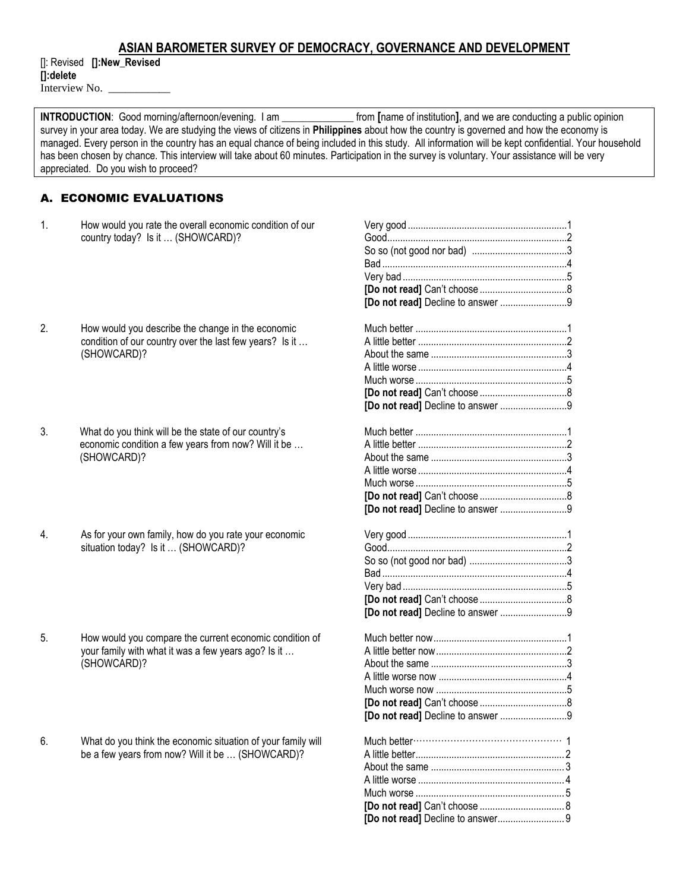# **ASIAN BAROMETER SURVEY OF DEMOCRACY, GOVERNANCE AND DEVELOPMENT**

[]: Revised **[]:New\_Revised []:delete** Interview No.

**INTRODUCTION**: Good morning/afternoon/evening. I am \_\_\_\_\_\_\_\_\_\_\_\_\_\_ from **[**name of institution**]**, and we are conducting a public opinion survey in your area today. We are studying the views of citizens in **Philippines** about how the country is governed and how the economy is managed. Every person in the country has an equal chance of being included in this study. All information will be kept confidential. Your household has been chosen by chance. This interview will take about 60 minutes. Participation in the survey is voluntary. Your assistance will be very appreciated. Do you wish to proceed?

# A. ECONOMIC EVALUATIONS

- 1. How would you rate the overall economic condition of our country today? Is it … (SHOWCARD)?
- 2. How would you describe the change in the economic condition of our country over the last few years? Is it … (SHOWCARD)?
- 3. What do you think will be the state of our country's economic condition a few years from now? Will it be … (SHOWCARD)?
- 4. As for your own family, how do you rate your economic situation today? Is it ... (SHOWCARD)?
- 5. How would you compare the current economic condition of your family with what it was a few years ago? Is it … (SHOWCARD)?
- 6. What do you think the economic situation of your family will be a few years from now? Will it be … (SHOWCARD)?

| [Do not read] Decline to answer 9 |  |
|-----------------------------------|--|
| [Do not read] Decline to answer 9 |  |
| [Do not read] Decline to answer 9 |  |
| [Do not read] Decline to answer 9 |  |
|                                   |  |
|                                   |  |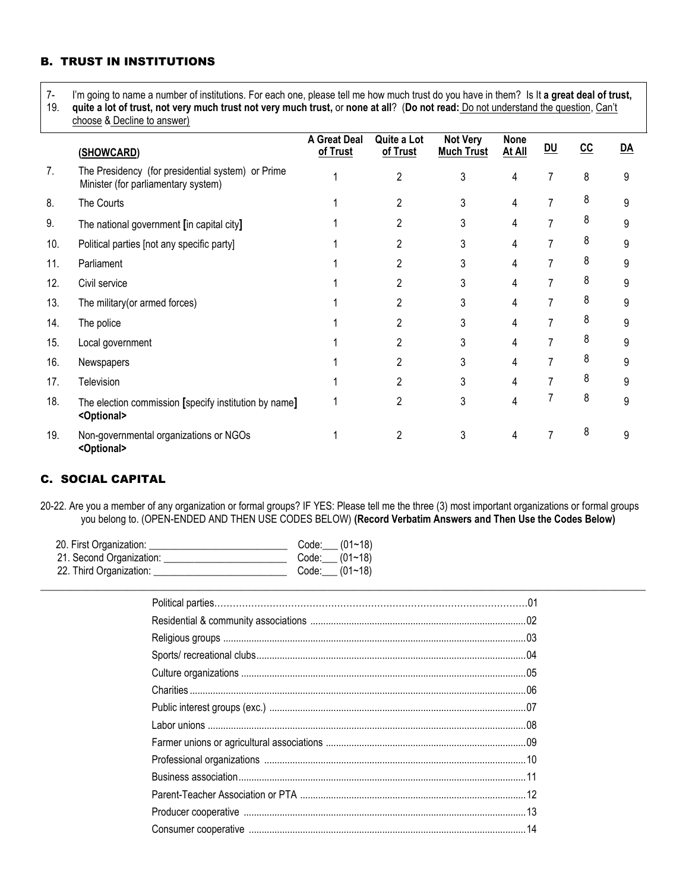# B. TRUST IN INSTITUTIONS

7- I'm going to name a number of institutions. For each one, please tell me how much trust do you have in them? Is It **a great deal of trust,** 

19. **quite a lot of trust, not very much trust not very much trust,** or **none at all**? (**Do not read:** Do not understand the question, Can't choose & Decline to answer)

|     | (SHOWCARD)                                                                               | <b>A Great Deal</b><br>of Trust | Quite a Lot<br>of Trust | <b>Not Very</b><br><b>Much Trust</b> | <b>None</b><br>At All | DU | cc | $\underline{DA}$ |
|-----|------------------------------------------------------------------------------------------|---------------------------------|-------------------------|--------------------------------------|-----------------------|----|----|------------------|
| 7.  | The Presidency (for presidential system) or Prime<br>Minister (for parliamentary system) |                                 | $\overline{2}$          | 3                                    | 4                     | 7  | 8  | 9                |
| 8.  | The Courts                                                                               |                                 |                         |                                      | 4                     |    | 8  | 9                |
| 9.  | The national government [in capital city]                                                |                                 |                         | 3                                    | 4                     |    | 8  | 9                |
| 10. | Political parties [not any specific party]                                               |                                 |                         |                                      | 4                     |    | 8  | 9                |
| 11. | Parliament                                                                               |                                 |                         |                                      | 4                     |    | 8  | 9                |
| 12. | Civil service                                                                            |                                 |                         |                                      | 4                     |    | 8  | 9                |
| 13. | The military (or armed forces)                                                           |                                 |                         | 3                                    | 4                     |    | 8  | 9                |
| 14. | The police                                                                               |                                 |                         |                                      | 4                     |    | 8  | 9                |
| 15. | Local government                                                                         |                                 |                         | 3                                    | 4                     |    | 8  | 9                |
| 16. | Newspapers                                                                               |                                 |                         |                                      | 4                     |    | 8  | 9                |
| 17. | Television                                                                               |                                 |                         |                                      | 4                     |    | 8  | 9                |
| 18. | The election commission [specify institution by name]<br><optional></optional>           |                                 |                         |                                      | 4                     |    | 8  | 9                |
| 19. | Non-governmental organizations or NGOs<br><optional></optional>                          |                                 |                         |                                      | 4                     |    | 8  | 9                |

# C. SOCIAL CAPITAL

20-22. Are you a member of any organization or formal groups? IF YES: Please tell me the three (3) most important organizations or formal groups you belong to. (OPEN-ENDED AND THEN USE CODES BELOW) **(Record Verbatim Answers and Then Use the Codes Below)**

 $\Box$ 

| 20. First Organization:  | Code: $(01~18)$ |
|--------------------------|-----------------|
| 21. Second Organization: | Code: $(01~18)$ |
| 22. Third Organization:  | Code: $(01~18)$ |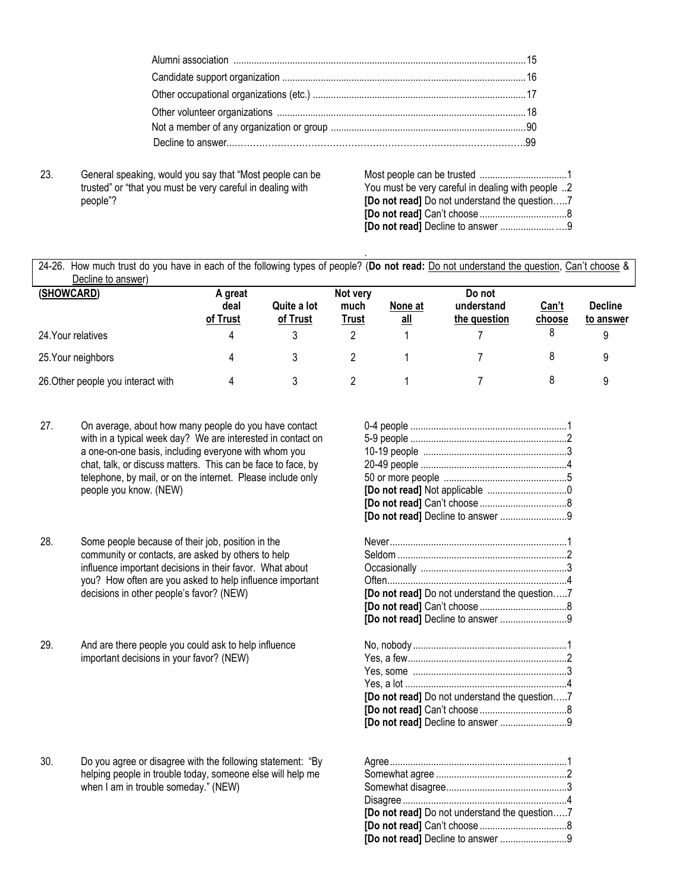23. General speaking, would you say that "Most people can be trusted" or "that you must be very careful in dealing with people"?

| You must be very careful in dealing with people 2    |  |
|------------------------------------------------------|--|
| <b>[Do not read]</b> Do not understand the question7 |  |
|                                                      |  |
|                                                      |  |

24-26. How much trust do you have in each of the following types of people? (**Do not read:** Do not understand the question, Can't choose & Decline to answer)

.

| (SHOWCARD)                         | A great          |                         | Not very      |                | Do not                     |                        |                             |
|------------------------------------|------------------|-------------------------|---------------|----------------|----------------------------|------------------------|-----------------------------|
|                                    | deal<br>of Trust | Quite a lot<br>of Trust | much<br>Trust | None at<br>all | understand<br>the question | <u>Can't</u><br>choose | <b>Decline</b><br>to answer |
| 24. Your relatives                 | 4                |                         |               |                |                            |                        |                             |
| 25. Your neighbors                 | 4                |                         |               |                |                            |                        |                             |
| 26. Other people you interact with | 4                |                         |               |                |                            |                        |                             |

- 27. On average, about how many people do you have contact with in a typical week day? We are interested in contact on a one-on-one basis, including everyone with whom you chat, talk, or discuss matters. This can be face to face, by telephone, by mail, or on the internet. Please include only people you know. (NEW)
- 28. Some people because of their job, position in the community or contacts, are asked by others to help influence important decisions in their favor. What about you? How often are you asked to help influence important decisions in other people's favor? (NEW)
- 29. And are there people you could ask to help influence important decisions in your favor? (NEW)

30. Do you agree or disagree with the following statement: "By helping people in trouble today, someone else will help me when I am in trouble someday." (NEW)

| [Do not read] Decline to answer 9                                                  |  |
|------------------------------------------------------------------------------------|--|
| [Do not read] Do not understand the question7<br>[Do not read] Decline to answer 9 |  |
| [Do not read] Do not understand the question7<br>[Do not read] Decline to answer 9 |  |
|                                                                                    |  |

| [Do not read] Do not understand the question7 |  |
|-----------------------------------------------|--|
|                                               |  |
|                                               |  |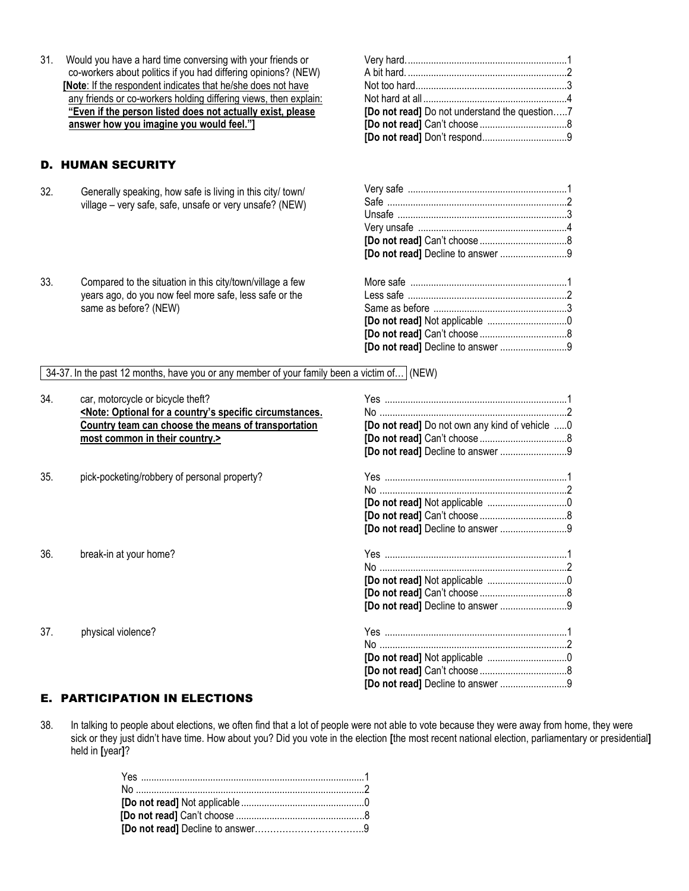31. Would you have a hard time conversing with your friends or co-workers about politics if you had differing opinions? (NEW) **[Note**: If the respondent indicates that he/she does not have any friends or co-workers holding differing views, then explain: **"Even if the person listed does not actually exist, please answer how you imagine you would feel."]**

# D. HUMAN SECURITY

32. Generally speaking, how safe is living in this city/ town/ village – very safe, safe, unsafe or very unsafe? (NEW)

33. Compared to the situation in this city/town/village a few

same as before? (NEW)

years ago, do you now feel more safe, less safe or the

| [Do not read] Do not understand the question7 |  |
|-----------------------------------------------|--|
|                                               |  |
|                                               |  |
|                                               |  |

| [Do not read] Decline to answer 9 |  |
|-----------------------------------|--|

| [Do not read] Decline to answer 9 |  |
|-----------------------------------|--|

34-37. In the past 12 months, have you or any member of your family been a victim of… (NEW)

| car, motorcycle or bicycle theft?                                                                           |                                                                                              |  |
|-------------------------------------------------------------------------------------------------------------|----------------------------------------------------------------------------------------------|--|
| <note: a="" circumstances.<="" country's="" for="" optional="" specific="" td=""><td></td><td></td></note:> |                                                                                              |  |
| Country team can choose the means of transportation                                                         | [Do not read] Do not own any kind of vehicle 0                                               |  |
| most common in their country.>                                                                              |                                                                                              |  |
|                                                                                                             | [Do not read] Decline to answer 9                                                            |  |
|                                                                                                             |                                                                                              |  |
|                                                                                                             |                                                                                              |  |
|                                                                                                             |                                                                                              |  |
|                                                                                                             |                                                                                              |  |
|                                                                                                             | [Do not read] Decline to answer 9                                                            |  |
|                                                                                                             |                                                                                              |  |
|                                                                                                             |                                                                                              |  |
|                                                                                                             |                                                                                              |  |
|                                                                                                             |                                                                                              |  |
|                                                                                                             | [Do not read] Decline to answer 9                                                            |  |
|                                                                                                             |                                                                                              |  |
|                                                                                                             |                                                                                              |  |
|                                                                                                             |                                                                                              |  |
|                                                                                                             |                                                                                              |  |
|                                                                                                             | [Do not read] Decline to answer 9                                                            |  |
|                                                                                                             | pick-pocketing/robbery of personal property?<br>break-in at your home?<br>physical violence? |  |

### E. PARTICIPATION IN ELECTIONS

38. In talking to people about elections, we often find that a lot of people were not able to vote because they were away from home, they were sick or they just didn't have time. How about you? Did you vote in the election **[**the most recent national election, parliamentary or presidential**]**  held in **[**year**]**?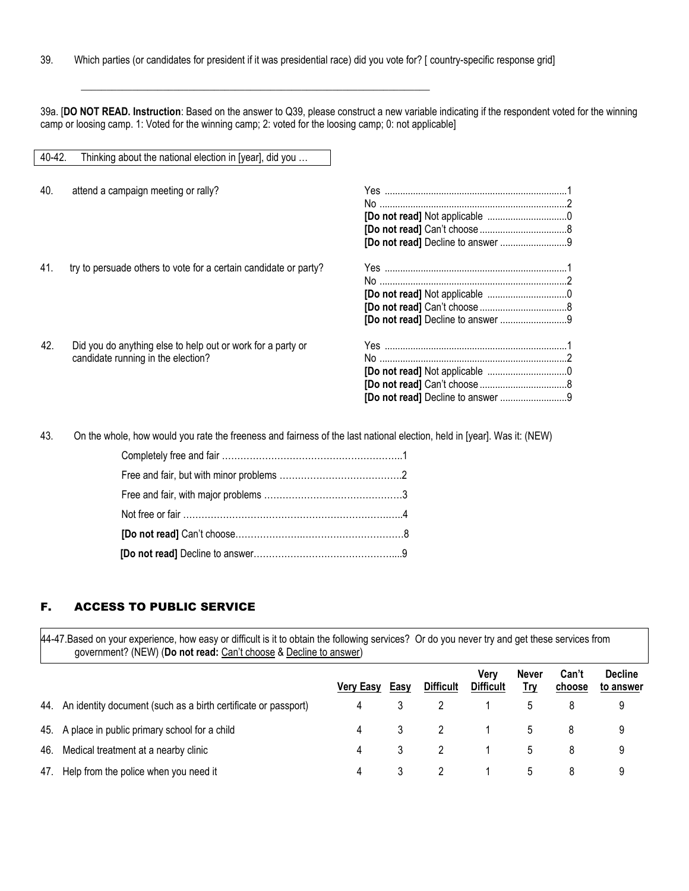\_\_\_\_\_\_\_\_\_\_\_\_\_\_\_\_\_\_\_\_\_\_\_\_\_\_\_\_\_\_\_\_\_\_\_\_\_\_\_\_\_\_\_\_\_\_\_\_\_\_\_\_\_\_\_\_\_\_\_\_\_\_\_\_\_\_\_\_

39a. [**DO NOT READ. Instruction**: Based on the answer to Q39, please construct a new variable indicating if the respondent voted for the winning camp or loosing camp. 1: Voted for the winning camp; 2: voted for the loosing camp; 0: not applicable]

| 40-42. | Thinking about the national election in [year], did you          |                                   |  |
|--------|------------------------------------------------------------------|-----------------------------------|--|
|        |                                                                  |                                   |  |
| 40.    | attend a campaign meeting or rally?                              |                                   |  |
|        |                                                                  |                                   |  |
|        |                                                                  |                                   |  |
|        |                                                                  |                                   |  |
|        |                                                                  | [Do not read] Decline to answer 9 |  |
|        |                                                                  |                                   |  |
| 41.    | try to persuade others to vote for a certain candidate or party? |                                   |  |
|        |                                                                  |                                   |  |
|        |                                                                  |                                   |  |
|        |                                                                  |                                   |  |
|        |                                                                  |                                   |  |
| 42.    |                                                                  |                                   |  |
|        | Did you do anything else to help out or work for a party or      |                                   |  |
|        | candidate running in the election?                               |                                   |  |
|        |                                                                  |                                   |  |
|        |                                                                  |                                   |  |
|        |                                                                  |                                   |  |

43. On the whole, how would you rate the freeness and fairness of the last national election, held in [year]. Was it: (NEW)

### F. ACCESS TO PUBLIC SERVICE

44-47.Based on your experience, how easy or difficult is it to obtain the following services? Or do you never try and get these services from government? (NEW) (**Do not read:** Can't choose & Decline to answer)

|     |                                                                    |                  |      |                  | Verv<br><b>Difficult</b> | <b>Never</b> | Can't  | <b>Decline</b> |
|-----|--------------------------------------------------------------------|------------------|------|------------------|--------------------------|--------------|--------|----------------|
|     |                                                                    | <b>Very Easy</b> | Easy | <b>Difficult</b> |                          | Try          | choose | to answer      |
|     | 44. An identity document (such as a birth certificate or passport) | 4                |      |                  |                          |              |        | 9              |
|     | 45. A place in public primary school for a child                   | 4                |      | $\overline{2}$   | $\sim$ 1                 | 5            | 8      | 9              |
| 46. | Medical treatment at a nearby clinic                               | 4                | 3    | 2                |                          | 5            | 8      | 9              |
|     | 47. Help from the police when you need it                          | 4                | 3    |                  |                          | 5            | 8      | 9              |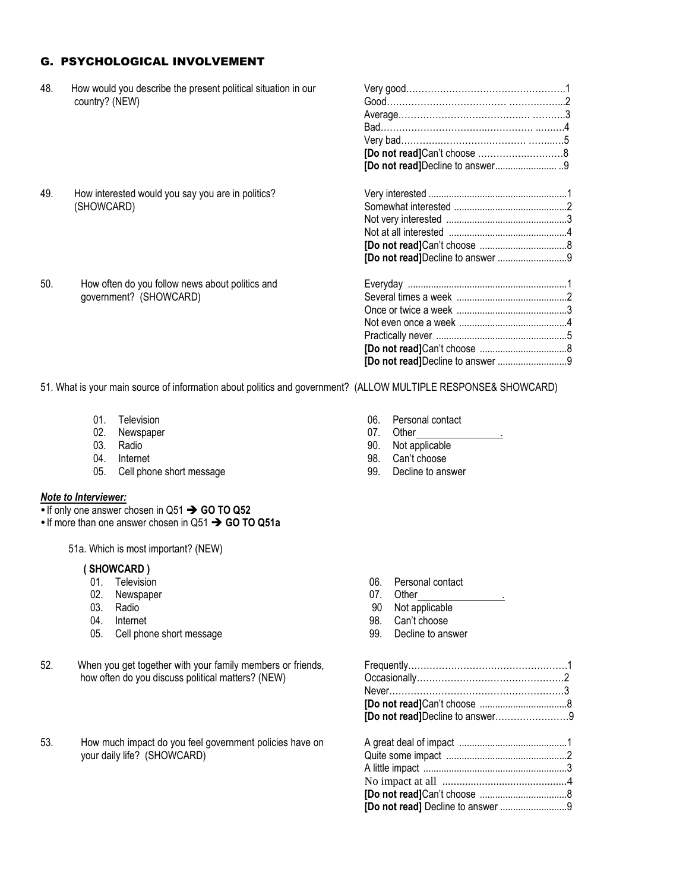# G. PSYCHOLOGICAL INVOLVEMENT

| 48. | How would you describe the present political situation in our |  |
|-----|---------------------------------------------------------------|--|
|     | country? (NEW)                                                |  |
|     |                                                               |  |
|     |                                                               |  |
|     |                                                               |  |
|     |                                                               |  |
|     |                                                               |  |
| 49. | How interested would you say you are in politics?             |  |
|     | (SHOWCARD)                                                    |  |
|     |                                                               |  |
|     |                                                               |  |
|     |                                                               |  |
|     |                                                               |  |
| 50. | How often do you follow news about politics and               |  |
|     | government? (SHOWCARD)                                        |  |
|     |                                                               |  |
|     |                                                               |  |
|     |                                                               |  |
|     |                                                               |  |
|     |                                                               |  |

51. What is your main source of information about politics and government? (ALLOW MULTIPLE RESPONSE& SHOWCARD)

- 
- 
- 
- 
- 05. Cell phone short message 99. Decline to answer

#### *Note to Interviewer:*

- If only one answer chosen in Q51 **→ GO TO Q52**
- If more than one answer chosen in Q51 **→ GO TO Q51a**

51a. Which is most important? (NEW)

### **( SHOWCARD )**

- 
- of the contract of the contract of the contract of the contract of the contract of the contract of the contract of the contract of the contract of the contract of the contract of the contract of the contract of the contrac
- 
- 
- 05. Cell phone short message example 39. Decline to answer
- 52. When you get together with your family members or friends, how often do you discuss political matters? (NEW)
- 53. How much impact do you feel government policies have on your daily life? (SHOWCARD)
- 01. Television 100. Personal contact 02. Newspaper 100. Personal contact 02. Newspaper 100. Personal contact
	-
- 02. Newspaper example and the control of the control of the control of the control of the control of the control of the control of the control of the control of the control of the control of the control of the control of t 03. Radio 6. International control of the second series of the 90. Not applicable
- 04. Internet **98.** Can't choose
	-

- 06. Personal contact
- 
- 03. Radio 6. Participate of the contract of the contract of the contract of the contract of the contract of the contract of the contract of the contract of the contract of the contract of the contract of the contract of th
- 04. Internet 98. Can't choose
	-

| [Do not read]Decline to answer9 |  |
|---------------------------------|--|
|                                 |  |
|                                 |  |
|                                 |  |
|                                 |  |
|                                 |  |
|                                 |  |
|                                 |  |
|                                 |  |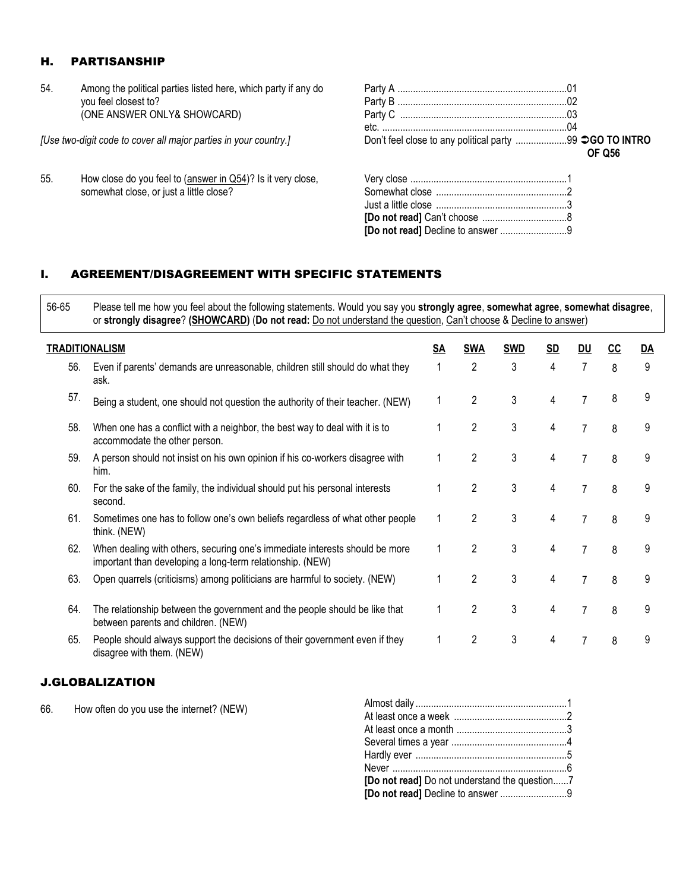# H. PARTISANSHIP

54. Among the political parties listed here, which party if any do you feel closest to? (ONE ANSWER ONLY& SHOWCARD)

*[Use two-digit code to cover all major parties in your country.]*

55. How close do you feel to (answer in Q54)? Is it very close, somewhat close, or just a little close?

| Don't feel close to any political party 99 <b>CO TO INTRO</b> | <b>OF 056</b> |
|---------------------------------------------------------------|---------------|
|                                                               |               |
|                                                               |               |

# I. AGREEMENT/DISAGREEMENT WITH SPECIFIC STATEMENTS

56-65 Please tell me how you feel about the following statements. Would you say you **strongly agree**, **somewhat agree**, **somewhat disagree**, or **strongly disagree**? **(SHOWCARD)** (**Do not read:** Do not understand the question, Can't choose & Decline to answer)

|     | <b>TRADITIONALISM</b>                                                                                                                    | <u>SA</u> | <b>SWA</b>     | <b>SWD</b> | <u>SD</u> | <u>DU</u>      | <b>CC</b> | $\overline{DA}$ |
|-----|------------------------------------------------------------------------------------------------------------------------------------------|-----------|----------------|------------|-----------|----------------|-----------|-----------------|
| 56. | Even if parents' demands are unreasonable, children still should do what they<br>ask.                                                    |           | $\overline{2}$ | 3          | 4         | 7              | 8         | 9               |
| 57. | Being a student, one should not question the authority of their teacher. (NEW)                                                           |           | $\overline{2}$ | 3          | 4         |                | 8         | 9               |
| 58. | When one has a conflict with a neighbor, the best way to deal with it is to<br>accommodate the other person.                             |           | 2              | 3          | 4         |                | 8         | 9               |
| 59. | A person should not insist on his own opinion if his co-workers disagree with<br>him.                                                    |           | $\overline{2}$ | 3          | 4         |                | 8         | 9               |
| 60. | For the sake of the family, the individual should put his personal interests<br>second.                                                  |           | $\overline{2}$ | 3          | 4         |                | 8         | 9               |
| 61. | Sometimes one has to follow one's own beliefs regardless of what other people<br>think. (NEW)                                            |           | $\overline{2}$ | 3          | 4         | 7              | 8         | 9               |
| 62. | When dealing with others, securing one's immediate interests should be more<br>important than developing a long-term relationship. (NEW) |           | $\overline{2}$ | 3          | 4         | 7              | 8         | 9               |
| 63. | Open quarrels (criticisms) among politicians are harmful to society. (NEW)                                                               |           | 2              | 3          | 4         | $\overline{7}$ | 8         | 9               |
| 64. | The relationship between the government and the people should be like that<br>between parents and children. (NEW)                        |           | 2              | 3          | 4         | 7              | 8         | 9               |
| 65. | People should always support the decisions of their government even if they<br>disagree with them. (NEW)                                 |           | $\overline{2}$ | 3          | 4         | 7              | 8         | 9               |

### J.GLOBALIZATION

66. How often do you use the internet? (NEW)

| [Do not read] Do not understand the question7 |  |
|-----------------------------------------------|--|
| [Do not read] Decline to answer 9             |  |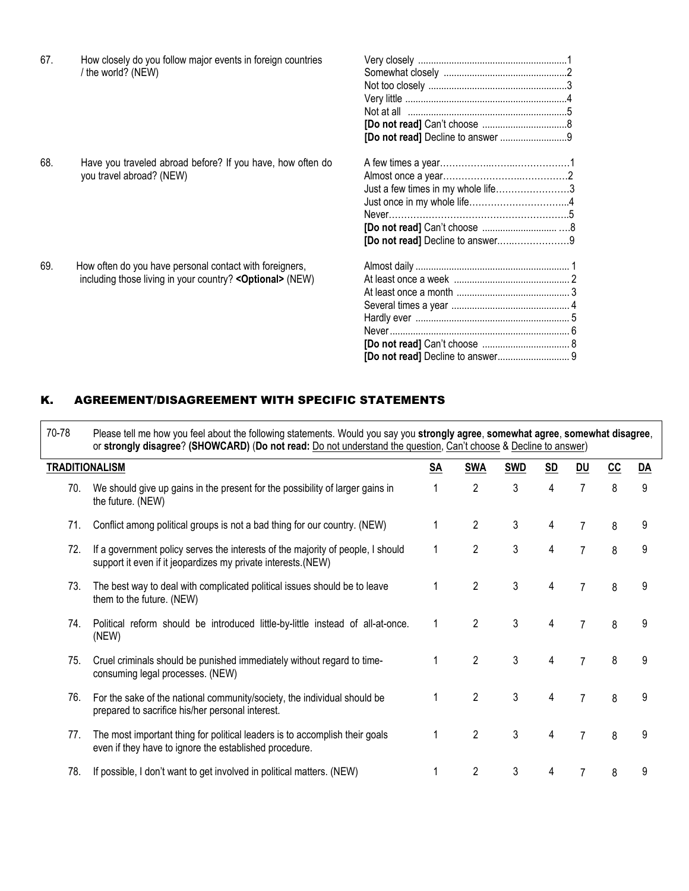| [Do not read] Decline to answer 9<br>68.<br>Have you traveled abroad before? If you have, how often do<br>you travel abroad? (NEW)<br>Just a few times in my whole life3<br>[Do not read] Decline to answer9<br>69.<br>How often do you have personal contact with foreigners,<br>including those living in your country? < Optional> (NEW) | 67. | How closely do you follow major events in foreign countries<br>/ the world? (NEW) |  |
|---------------------------------------------------------------------------------------------------------------------------------------------------------------------------------------------------------------------------------------------------------------------------------------------------------------------------------------------|-----|-----------------------------------------------------------------------------------|--|
|                                                                                                                                                                                                                                                                                                                                             |     |                                                                                   |  |
|                                                                                                                                                                                                                                                                                                                                             |     |                                                                                   |  |
|                                                                                                                                                                                                                                                                                                                                             |     |                                                                                   |  |
|                                                                                                                                                                                                                                                                                                                                             |     |                                                                                   |  |
|                                                                                                                                                                                                                                                                                                                                             |     |                                                                                   |  |
|                                                                                                                                                                                                                                                                                                                                             |     |                                                                                   |  |
|                                                                                                                                                                                                                                                                                                                                             |     |                                                                                   |  |
|                                                                                                                                                                                                                                                                                                                                             |     |                                                                                   |  |
|                                                                                                                                                                                                                                                                                                                                             |     |                                                                                   |  |
|                                                                                                                                                                                                                                                                                                                                             |     |                                                                                   |  |
|                                                                                                                                                                                                                                                                                                                                             |     |                                                                                   |  |
|                                                                                                                                                                                                                                                                                                                                             |     |                                                                                   |  |
|                                                                                                                                                                                                                                                                                                                                             |     |                                                                                   |  |
|                                                                                                                                                                                                                                                                                                                                             |     |                                                                                   |  |
|                                                                                                                                                                                                                                                                                                                                             |     |                                                                                   |  |
|                                                                                                                                                                                                                                                                                                                                             |     |                                                                                   |  |
|                                                                                                                                                                                                                                                                                                                                             |     |                                                                                   |  |
|                                                                                                                                                                                                                                                                                                                                             |     |                                                                                   |  |
|                                                                                                                                                                                                                                                                                                                                             |     |                                                                                   |  |
|                                                                                                                                                                                                                                                                                                                                             |     |                                                                                   |  |

# K. AGREEMENT/DISAGREEMENT WITH SPECIFIC STATEMENTS

| 70-78 | Please tell me how you feel about the following statements. Would you say you strongly agree, somewhat agree, somewhat disagree,<br>or strongly disagree? (SHOWCARD) (Do not read: Do not understand the question, Can't choose & Decline to answer) |           |                |            |                |                |     |           |
|-------|------------------------------------------------------------------------------------------------------------------------------------------------------------------------------------------------------------------------------------------------------|-----------|----------------|------------|----------------|----------------|-----|-----------|
|       | <b>TRADITIONALISM</b>                                                                                                                                                                                                                                | <u>SA</u> | <b>SWA</b>     | <b>SWD</b> | S <sub>D</sub> | DU             | $c$ | <u>DA</u> |
| 70.   | We should give up gains in the present for the possibility of larger gains in<br>the future. (NEW)                                                                                                                                                   | 1         | $\overline{2}$ | 3          | 4              | $\overline{7}$ | 8   | 9         |
| 71.   | Conflict among political groups is not a bad thing for our country. (NEW)                                                                                                                                                                            | 1         | $\overline{2}$ | 3          | 4              | $\overline{7}$ | 8   | 9         |
| 72.   | If a government policy serves the interests of the majority of people, I should<br>support it even if it jeopardizes my private interests. (NEW)                                                                                                     | 1         | $\overline{2}$ | 3          | 4              | $\overline{7}$ | 8   | 9         |
| 73.   | The best way to deal with complicated political issues should be to leave<br>them to the future. (NEW)                                                                                                                                               | 1         | $\overline{2}$ | 3          | 4              | $\overline{7}$ | 8   | 9         |
| 74.   | Political reform should be introduced little-by-little instead of all-at-once.<br>(NEW)                                                                                                                                                              | 1         | $\overline{2}$ | 3          | 4              | $\overline{7}$ | 8   | 9         |
| 75.   | Cruel criminals should be punished immediately without regard to time-<br>consuming legal processes. (NEW)                                                                                                                                           | 1         | $\mathcal{P}$  | 3          | 4              | $\overline{7}$ | 8   | 9         |
| 76.   | For the sake of the national community/society, the individual should be<br>prepared to sacrifice his/her personal interest.                                                                                                                         | 1         | $\overline{2}$ | 3          | 4              | $\overline{7}$ | 8   | 9         |
| 77.   | The most important thing for political leaders is to accomplish their goals<br>even if they have to ignore the established procedure.                                                                                                                | 1         | $\overline{2}$ | 3          | 4              | $\overline{7}$ | 8   | 9         |
| 78.   | If possible, I don't want to get involved in political matters. (NEW)                                                                                                                                                                                |           | 2              | 3          | 4              |                | 8   | 9         |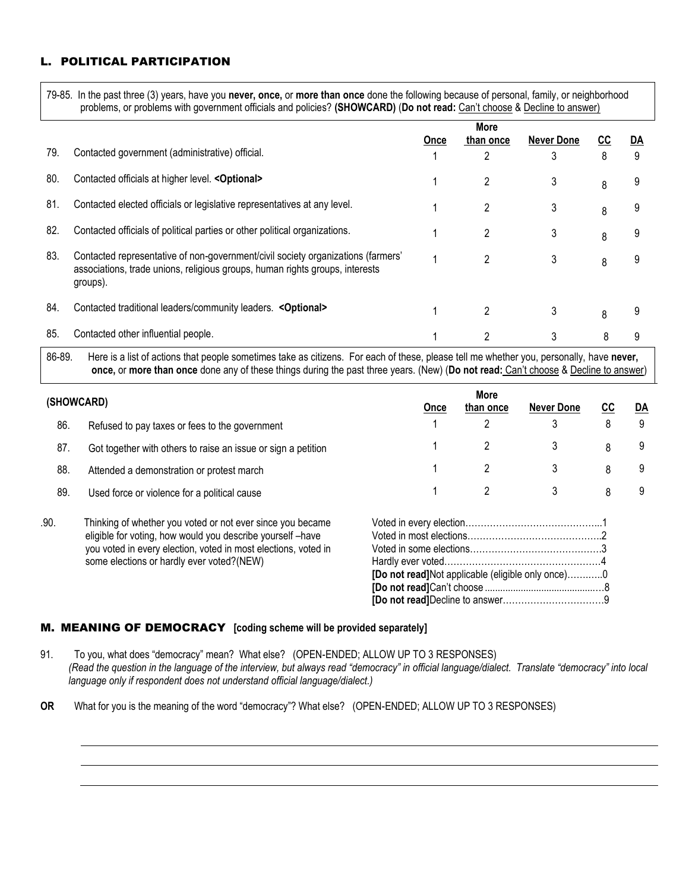# POLITICAL PARTICIPATION

79-85. In the past three (3) years, have you **never, once,** or **more than once** done the following because of personal, family, or neighborhood problems, or problems with government officials and policies? **(SHOWCARD)** (**Do not read:** Can't choose & Decline to answer)

|     |                                                                                                                                                                              |             | More      |                   |    |    |
|-----|------------------------------------------------------------------------------------------------------------------------------------------------------------------------------|-------------|-----------|-------------------|----|----|
|     |                                                                                                                                                                              | <b>Once</b> | than once | <b>Never Done</b> | ၒၒ | DA |
| 79. | Contacted government (administrative) official.                                                                                                                              |             | 2         |                   | 8  | 9  |
| 80. | Contacted officials at higher level. < Optional>                                                                                                                             |             | 2         | 3                 | 8  | 9  |
| 81. | Contacted elected officials or legislative representatives at any level.                                                                                                     |             | 2         | 3                 | 8  | 9  |
| 82. | Contacted officials of political parties or other political organizations.                                                                                                   |             | 2         | 3                 | 8  | 9  |
| 83. | Contacted representative of non-government/civil society organizations (farmers'<br>associations, trade unions, religious groups, human rights groups, interests<br>groups). |             | 2         | 3                 | 8  | 9  |
| 84. | Contacted traditional leaders/community leaders. < Optional>                                                                                                                 |             | 2         | 3                 | 8  | 9  |
| 85. | Contacted other influential people.                                                                                                                                          |             |           |                   |    |    |

86-89. Here is a list of actions that people sometimes take as citizens. For each of these, please tell me whether you, personally, have **never, once,** or **more than once** done any of these things during the past three years. (New) (**Do not read:** Can't choose & Decline to answer)

|      | (SHOWCARD)                                                     | Once                                              | More<br>than once | <b>Never Done</b> | cc | $\underline{DA}$ |
|------|----------------------------------------------------------------|---------------------------------------------------|-------------------|-------------------|----|------------------|
| 86.  | Refused to pay taxes or fees to the government                 |                                                   | 2                 |                   | 8  | 9                |
| 87.  | Got together with others to raise an issue or sign a petition  |                                                   | 2                 | 3                 | 8  | 9                |
| 88.  | Attended a demonstration or protest march                      |                                                   | 2                 |                   | 8  | 9                |
| 89.  | Used force or violence for a political cause                   |                                                   | 2                 | 3                 | 8  | 9                |
| .90. | Thinking of whether you voted or not ever since you became     |                                                   |                   |                   |    |                  |
|      | eligible for voting, how would you describe yourself-have      |                                                   |                   |                   |    |                  |
|      | you voted in every election, voted in most elections, voted in |                                                   |                   |                   |    |                  |
|      | some elections or hardly ever voted?(NEW)                      |                                                   |                   |                   |    |                  |
|      |                                                                | [Do not read]Not applicable (eligible only once)0 |                   |                   |    |                  |
|      |                                                                |                                                   |                   |                   |    |                  |
|      |                                                                |                                                   |                   |                   |    |                  |

### M. MEANING OF DEMOCRACY **[coding scheme will be provided separately]**

- 91. To you, what does "democracy" mean? What else? (OPEN-ENDED; ALLOW UP TO 3 RESPONSES) *(Read the question in the language of the interview, but always read "democracy" in official language/dialect. Translate "democracy" into local language only if respondent does not understand official language/dialect.)*
- **OR** What for you is the meaning of the word "democracy"? What else? (OPEN-ENDED; ALLOW UP TO 3 RESPONSES)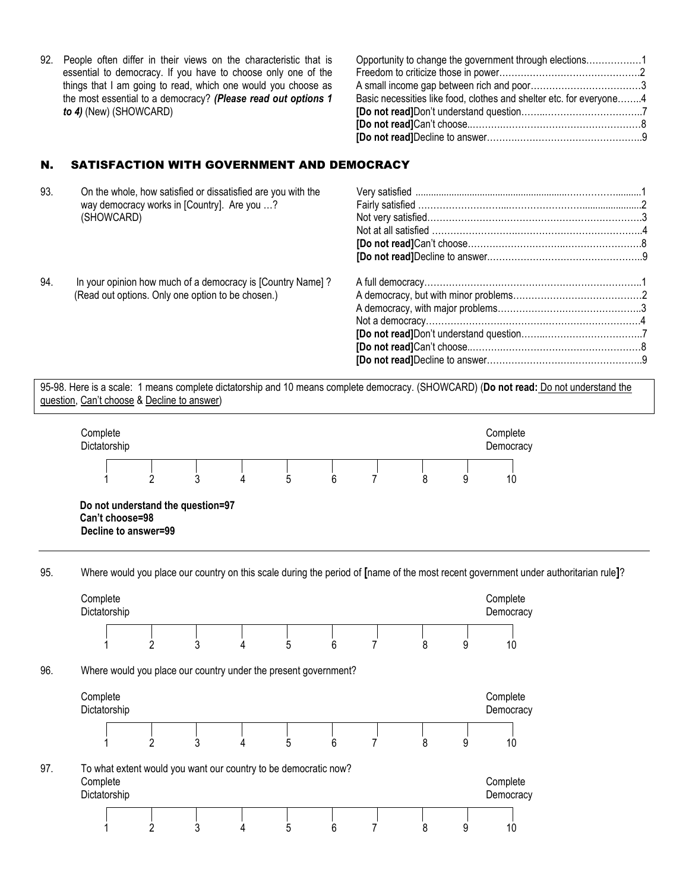92. People often differ in their views on the characteristic that is essential to democracy. If you have to choose only one of the things that I am going to read, which one would you choose as the most essential to a democracy? *(Please read out options 1 to 4)* (New) (SHOWCARD)

#### Opportunity to change the government through elections………………1 Freedom to criticize those in power……………………………………….2 A small income gap between rich and poor………………………………3 Basic necessities like food, clothes and shelter etc. for everyone……..4 **[Do not read]**Don't understand question……..…………………………..7 **[Do not read]**Can't choose..……….………………………………………8 **[Do not read]**Decline to answer……….…………………………………..9

# N. SATISFACTION WITH GOVERNMENT AND DEMOCRACY

| 93. | On the whole, how satisfied or dissatisfied are you with the |  |
|-----|--------------------------------------------------------------|--|
|     | way democracy works in [Country]. Are you ?                  |  |
|     | (SHOWCARD)                                                   |  |
|     |                                                              |  |
|     |                                                              |  |
|     |                                                              |  |
|     |                                                              |  |
| 94. | In your opinion how much of a democracy is [Country Name]?   |  |
|     | (Read out options. Only one option to be chosen.)            |  |
|     |                                                              |  |
|     |                                                              |  |
|     |                                                              |  |
|     |                                                              |  |
|     |                                                              |  |
|     |                                                              |  |

95-98. Here is a scale: 1 means complete dictatorship and 10 means complete democracy. (SHOWCARD) (**Do not read:** Do not understand the question, Can't choose & Decline to answer)



95. Where would you place our country on this scale during the period of **[**name of the most recent government under authoritarian rule**]**?

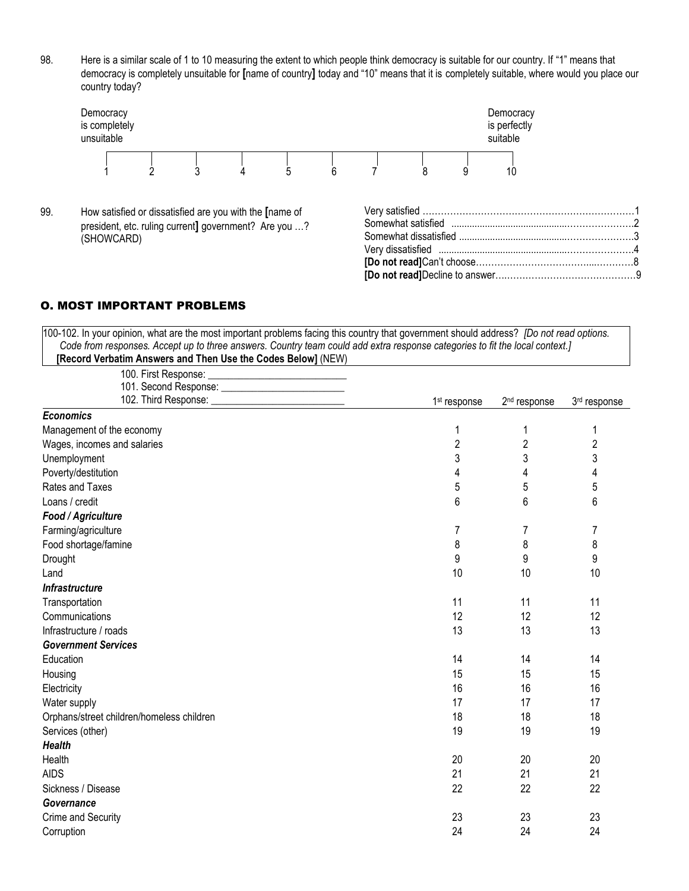98. Here is a similar scale of 1 to 10 measuring the extent to which people think democracy is suitable for our country. If "1" means that democracy is completely unsuitable for **[**name of country**]** today and "10" means that it is completely suitable, where would you place our country today?



99. How satisfied or dissatisfied are you with the **[**name of president, etc. ruling current**]** government? Are you …? (SHOWCARD)

# O. MOST IMPORTANT PROBLEMS

| 100-102. In your opinion, what are the most important problems facing this country that government should address? [Do not read options. |                          |                          |                |
|------------------------------------------------------------------------------------------------------------------------------------------|--------------------------|--------------------------|----------------|
| Code from responses. Accept up to three answers. Country team could add extra response categories to fit the local context.]             |                          |                          |                |
| [Record Verbatim Answers and Then Use the Codes Below] (NEW)                                                                             |                          |                          |                |
|                                                                                                                                          |                          |                          |                |
| 101. Second Response: ____________________________                                                                                       | 1 <sup>st</sup> response | 2 <sup>nd</sup> response | 3rd response   |
| <b>Economics</b>                                                                                                                         |                          |                          |                |
| Management of the economy                                                                                                                | 1                        |                          | 1              |
| Wages, incomes and salaries                                                                                                              | $\overline{2}$           | $\overline{2}$           | $\overline{c}$ |
| Unemployment                                                                                                                             | 3                        | 3                        | 3              |
| Poverty/destitution                                                                                                                      | 4                        | 4                        | 4              |
| Rates and Taxes                                                                                                                          | 5                        | 5                        | 5              |
| Loans / credit                                                                                                                           | 6                        | 6                        | 6              |
| Food / Agriculture                                                                                                                       |                          |                          |                |
| Farming/agriculture                                                                                                                      | 7                        | 7                        | 7              |
| Food shortage/famine                                                                                                                     | 8                        | 8                        | 8              |
| Drought                                                                                                                                  | 9                        | 9                        | 9              |
| Land                                                                                                                                     | 10                       | 10                       | 10             |
| <b>Infrastructure</b>                                                                                                                    |                          |                          |                |
| Transportation                                                                                                                           | 11                       | 11                       | 11             |
| Communications                                                                                                                           | 12                       | 12                       | 12             |
| Infrastructure / roads                                                                                                                   | 13                       | 13                       | 13             |
| <b>Government Services</b>                                                                                                               |                          |                          |                |
| Education                                                                                                                                | 14                       | 14                       | 14             |
| Housing                                                                                                                                  | 15                       | 15                       | 15             |
| Electricity                                                                                                                              | 16                       | 16                       | 16             |
| Water supply                                                                                                                             | 17                       | 17                       | 17             |
| Orphans/street children/homeless children                                                                                                | 18                       | 18                       | 18             |
| Services (other)                                                                                                                         | 19                       | 19                       | 19             |
| <b>Health</b>                                                                                                                            |                          |                          |                |
| Health                                                                                                                                   | 20                       | 20                       | 20             |
| <b>AIDS</b>                                                                                                                              | 21                       | 21                       | 21             |
| Sickness / Disease                                                                                                                       | 22                       | 22                       | 22             |
| Governance                                                                                                                               |                          |                          |                |
| Crime and Security                                                                                                                       | 23                       | 23                       | 23             |
| Corruption                                                                                                                               | 24                       | 24                       | 24             |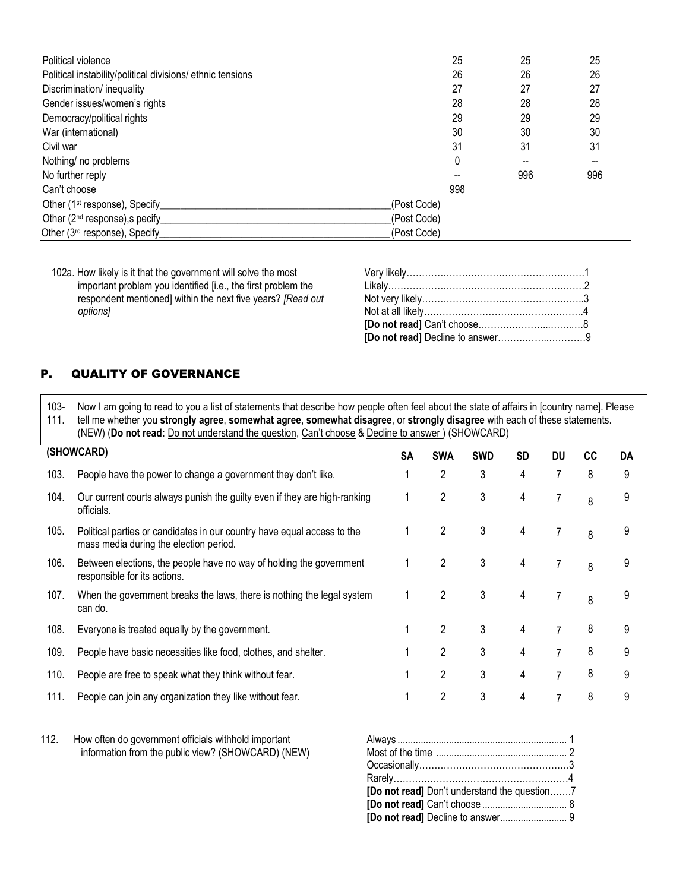| Political violence                                         |             | 25  | 25  | 25  |
|------------------------------------------------------------|-------------|-----|-----|-----|
| Political instability/political divisions/ ethnic tensions |             | 26  | 26  | 26  |
| Discrimination/ inequality                                 |             | 27  | 27  | 27  |
| Gender issues/women's rights                               |             | 28  | 28  | 28  |
| Democracy/political rights                                 |             | 29  | 29  | 29  |
| War (international)                                        |             | 30  | 30  | 30  |
| Civil war                                                  |             | 31  | 31  | 31  |
| Nothing/ no problems                                       |             | 0   |     |     |
| No further reply                                           |             |     | 996 | 996 |
| Can't choose                                               |             | 998 |     |     |
| Other (1 <sup>st</sup> response), Specify                  | (Post Code) |     |     |     |
| Other (2 <sup>nd</sup> response), specify                  | (Post Code) |     |     |     |
| Other (3 <sup>rd</sup> response), Specify                  | (Post Code) |     |     |     |

102a. How likely is it that the government will solve the most important problem you identified [i.e., the first problem the respondent mentioned] within the next five years? *[Read out options]*

### P. QUALITY OF GOVERNANCE

103- 111. Now I am going to read to you a list of statements that describe how people often feel about the state of affairs in [country name]. Please tell me whether you **strongly agree**, **somewhat agree**, **somewhat disagree**, or **strongly disagree** with each of these statements. (NEW) (**Do not read:** Do not understand the question, Can't choose & Decline to answer ) (SHOWCARD)

|      | (SHOWCARD)                                                                                                        | <u>SA</u> | <b>SWA</b>     | <b>SWD</b> | $\underline{\mathsf{SD}}$ | <u>DU</u> | $\underline{\text{cc}}$ | $\underline{DA}$ |
|------|-------------------------------------------------------------------------------------------------------------------|-----------|----------------|------------|---------------------------|-----------|-------------------------|------------------|
| 103. | People have the power to change a government they don't like.                                                     |           | 2              | 3          | 4                         |           | 8                       | 9                |
| 104. | Our current courts always punish the guilty even if they are high-ranking<br>officials.                           |           | 2              | 3          | 4                         |           | 8                       | 9                |
| 105. | Political parties or candidates in our country have equal access to the<br>mass media during the election period. |           | 2              | 3          | 4                         |           | 8                       | 9                |
| 106. | Between elections, the people have no way of holding the government<br>responsible for its actions.               |           | 2              | 3          | 4                         |           | 8                       | 9                |
| 107. | When the government breaks the laws, there is nothing the legal system<br>can do.                                 |           | 2              | 3          | 4                         |           | 8                       | 9                |
| 108. | Everyone is treated equally by the government.                                                                    |           | $\overline{2}$ | 3          | 4                         |           | 8                       | 9                |
| 109. | People have basic necessities like food, clothes, and shelter.                                                    |           | 2              | 3          | 4                         | 7         | 8                       | 9                |
| 110. | People are free to speak what they think without fear.                                                            |           | 2              | 3          | 4                         | 7         | 8                       | 9                |
| 111. | People can join any organization they like without fear.                                                          |           | 2              | 3          | 4                         |           | 8                       | 9                |

112. How often do government officials withhold important information from the public view? (SHOWCARD) (NEW)

| [Do not read] Don't understand the question7 |
|----------------------------------------------|
|                                              |
|                                              |
|                                              |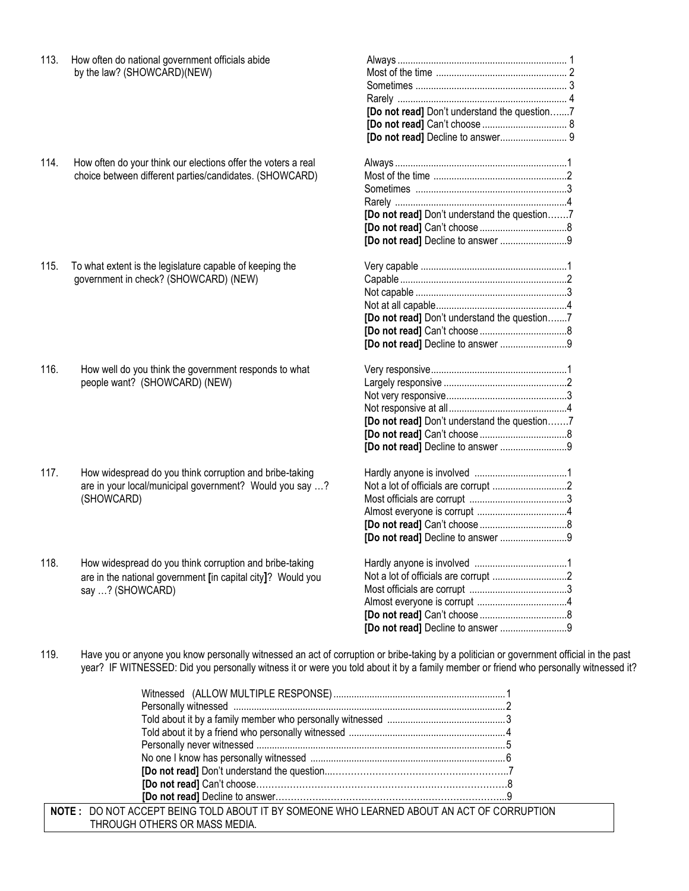| 113. | How often do national government officials abide<br>by the law? (SHOWCARD)(NEW)                                                            | [Do not read] Don't understand the question7                                      |
|------|--------------------------------------------------------------------------------------------------------------------------------------------|-----------------------------------------------------------------------------------|
| 114. | How often do your think our elections offer the voters a real<br>choice between different parties/candidates. (SHOWCARD)                   | [Do not read] Don't understand the question7                                      |
| 115. | To what extent is the legislature capable of keeping the<br>government in check? (SHOWCARD) (NEW)                                          | [Do not read] Don't understand the question7<br>[Do not read] Decline to answer 9 |
| 116. | How well do you think the government responds to what<br>people want? (SHOWCARD) (NEW)                                                     | [Do not read] Don't understand the question7<br>[Do not read] Decline to answer 9 |
| 117. | How widespread do you think corruption and bribe-taking<br>are in your local/municipal government? Would you say ?<br>(SHOWCARD)           | [Do not read] Decline to answer 9                                                 |
| 118. | How widespread do you think corruption and bribe-taking<br>are in the national government [in capital city]? Would you<br>say ? (SHOWCARD) | [Do not read] Decline to answer 9                                                 |

119. Have you or anyone you know personally witnessed an act of corruption or bribe-taking by a politician or government official in the past year? IF WITNESSED: Did you personally witness it or were you told about it by a family member or friend who personally witnessed it?

| <b>NOTE: DO NOT ACCEPT BEING TOLD ABOUT IT BY SOMEONE WHO LEARNED ABOUT AN ACT OF CORRUPTION</b> |  |
|--------------------------------------------------------------------------------------------------|--|
| THROUGH OTHERS OR MASS MEDIA.                                                                    |  |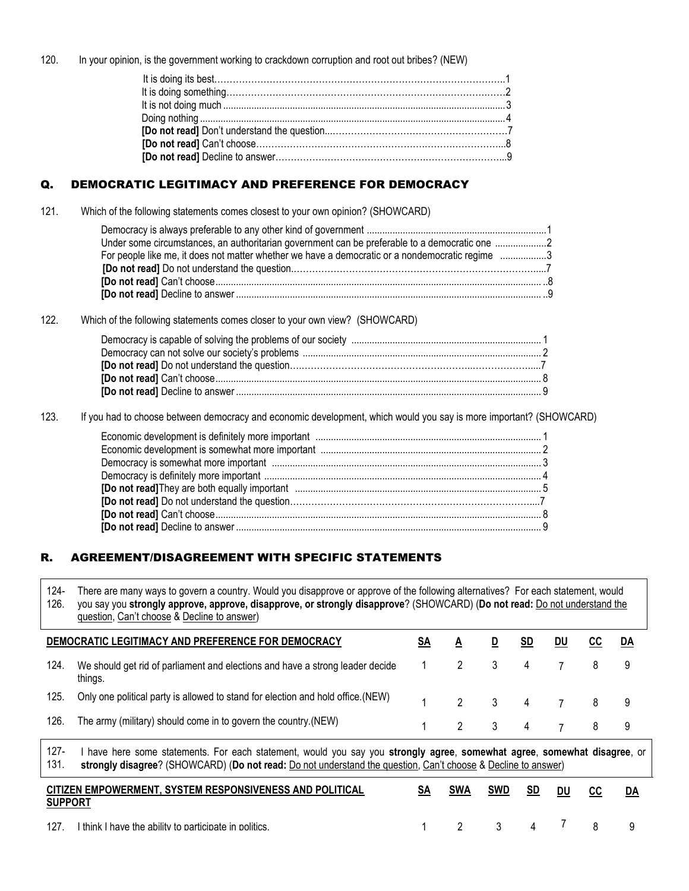120. In your opinion, is the government working to crackdown corruption and root out bribes? (NEW)

# Q. DEMOCRATIC LEGITIMACY AND PREFERENCE FOR DEMOCRACY

121. Which of the following statements comes closest to your own opinion? (SHOWCARD)

| Under some circumstances, an authoritarian government can be preferable to a democratic one 2   |  |
|-------------------------------------------------------------------------------------------------|--|
| For people like me, it does not matter whether we have a democratic or a nondemocratic regime 3 |  |
|                                                                                                 |  |
|                                                                                                 |  |
|                                                                                                 |  |

122. Which of the following statements comes closer to your own view? (SHOWCARD)

123. If you had to choose between democracy and economic development, which would you say is more important? (SHOWCARD)

# R. AGREEMENT/DISAGREEMENT WITH SPECIFIC STATEMENTS

124- 126. There are many ways to govern a country. Would you disapprove or approve of the following alternatives? For each statement, would you say you **strongly approve, approve, disapprove, or strongly disapprove**? (SHOWCARD) (**Do not read:** Do not understand the question, Can't choose & Decline to answer)

|      | DEMOCRATIC LEGITIMACY AND PREFERENCE FOR DEMOCRACY                                                             | SA |  | <b>SD</b>   | DU | DA |
|------|----------------------------------------------------------------------------------------------------------------|----|--|-------------|----|----|
| 124. | We should get rid of parliament and elections and have a strong leader decide 1<br>things.                     |    |  |             |    |    |
| 125. | Only one political party is allowed to stand for election and hold office. (NEW)                               |    |  | 2 3 4 7 8 9 |    |    |
| 126. | The army (military) should come in to govern the country. (NEW)                                                |    |  | 1 2 3 4 7 8 |    |    |
| 107  | L baya kana aama abdamanta. Fan aask abdamant wayda yay yay yayyaha abdambi aanaa aamayyaha aamayyahat diaanna |    |  |             |    |    |

127- 131. I have here some statements. For each statement, would you say you **strongly agree**, **somewhat agree**, **somewhat disagree**, or **strongly disagree**? (SHOWCARD) (**Do not read:** Do not understand the question, Can't choose & Decline to answer)

| <b>SUPPORT</b> | CITIZEN EMPOWERMENT, SYSTEM RESPONSIVENESS AND POLITICAL | SA | SWA | <b>SWD</b> | <u>SD</u> du                  | CC       |  |
|----------------|----------------------------------------------------------|----|-----|------------|-------------------------------|----------|--|
| 127.           | I think I have the ability to participate in politics.   |    | 2 3 |            | $\overline{4}$ $\overline{1}$ | <b>R</b> |  |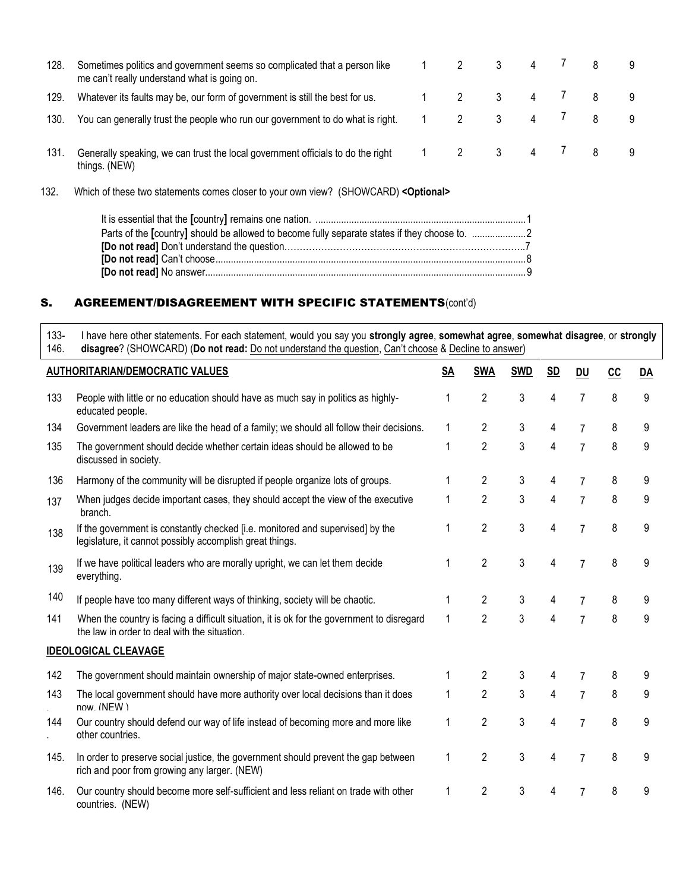| 128. | Sometimes politics and government seems so complicated that a person like<br>me can't really understand what is going on. |  |                         |   |  |  |
|------|---------------------------------------------------------------------------------------------------------------------------|--|-------------------------|---|--|--|
| 129. | Whatever its faults may be, our form of government is still the best for us.                                              |  |                         | 4 |  |  |
| 130. | You can generally trust the people who run our government to do what is right.                                            |  |                         |   |  |  |
| 131. | Generally speaking, we can trust the local government officials to do the right<br>things. (NEW)                          |  | $\overline{\mathbf{3}}$ | 4 |  |  |

132. Which of these two statements comes closer to your own view? (SHOWCARD) **<Optional>** 

| Parts of the [country] should be allowed to become fully separate states if they choose to. 2 |  |
|-----------------------------------------------------------------------------------------------|--|
|                                                                                               |  |
|                                                                                               |  |
|                                                                                               |  |

# S. AGREEMENT/DISAGREEMENT WITH SPECIFIC STATEMENTS(cont'd)

133- 146. I have here other statements. For each statement, would you say you **strongly agree**, **somewhat agree**, **somewhat disagree**, or **strongly disagree**? (SHOWCARD) (**Do not read:** Do not understand the question, Can't choose & Decline to answer)

|      | <b>AUTHORITARIAN/DEMOCRATIC VALUES</b>                                                                                                     | SA           | <b>SWA</b>     | <b>SWD</b> | <b>SD</b> | DU             | cc | DA |
|------|--------------------------------------------------------------------------------------------------------------------------------------------|--------------|----------------|------------|-----------|----------------|----|----|
| 133  | People with little or no education should have as much say in politics as highly-<br>educated people.                                      | 1            | $\overline{2}$ | 3          | 4         | $\overline{7}$ | 8  | 9  |
| 134  | Government leaders are like the head of a family; we should all follow their decisions.                                                    | 1            | $\overline{2}$ | 3          | 4         | $\overline{7}$ | 8  | 9  |
| 135  | The government should decide whether certain ideas should be allowed to be<br>discussed in society.                                        | 1            | $\overline{2}$ | 3          | 4         | $\overline{7}$ | 8  | 9  |
| 136  | Harmony of the community will be disrupted if people organize lots of groups.                                                              | 1            | $\overline{2}$ | 3          | 4         | $\overline{7}$ | 8  | 9  |
| 137  | When judges decide important cases, they should accept the view of the executive<br>branch.                                                | 1            | $\overline{2}$ | 3          | 4         | $\overline{7}$ | 8  | 9  |
| 138  | If the government is constantly checked [i.e. monitored and supervised] by the<br>legislature, it cannot possibly accomplish great things. | 1            | $\overline{2}$ | 3          | 4         | $\overline{7}$ | 8  | 9  |
| 139  | If we have political leaders who are morally upright, we can let them decide<br>everything.                                                | 1            | $\overline{2}$ | 3          | 4         | $\overline{7}$ | 8  | 9  |
| 140  | If people have too many different ways of thinking, society will be chaotic.                                                               | 1            | $\overline{2}$ | 3          | 4         |                | 8  | 9  |
| 141  | When the country is facing a difficult situation, it is ok for the government to disregard<br>the law in order to deal with the situation. | $\mathbf{1}$ | $\overline{2}$ | 3          | 4         | $\overline{7}$ | 8  | 9  |
|      | <b>IDEOLOGICAL CLEAVAGE</b>                                                                                                                |              |                |            |           |                |    |    |
| 142  | The government should maintain ownership of major state-owned enterprises.                                                                 | 1            | $\overline{2}$ | 3          |           |                | 8  | 9  |
| 143  | The local government should have more authority over local decisions than it does<br>now (NFW)                                             | 1            | $\overline{2}$ | 3          | 4         | $\overline{7}$ | 8  | 9  |
| 144  | Our country should defend our way of life instead of becoming more and more like<br>other countries.                                       | 1            | $\overline{2}$ | 3          | 4         | $\overline{7}$ | 8  | 9  |
| 145. | In order to preserve social justice, the government should prevent the gap between<br>rich and poor from growing any larger. (NEW)         | 1            | $\overline{2}$ | 3          | 4         | $\overline{7}$ | 8  | 9  |
| 146. | Our country should become more self-sufficient and less reliant on trade with other<br>countries. (NEW)                                    | 1            | $\overline{2}$ | 3          | 4         |                | 8  | 9  |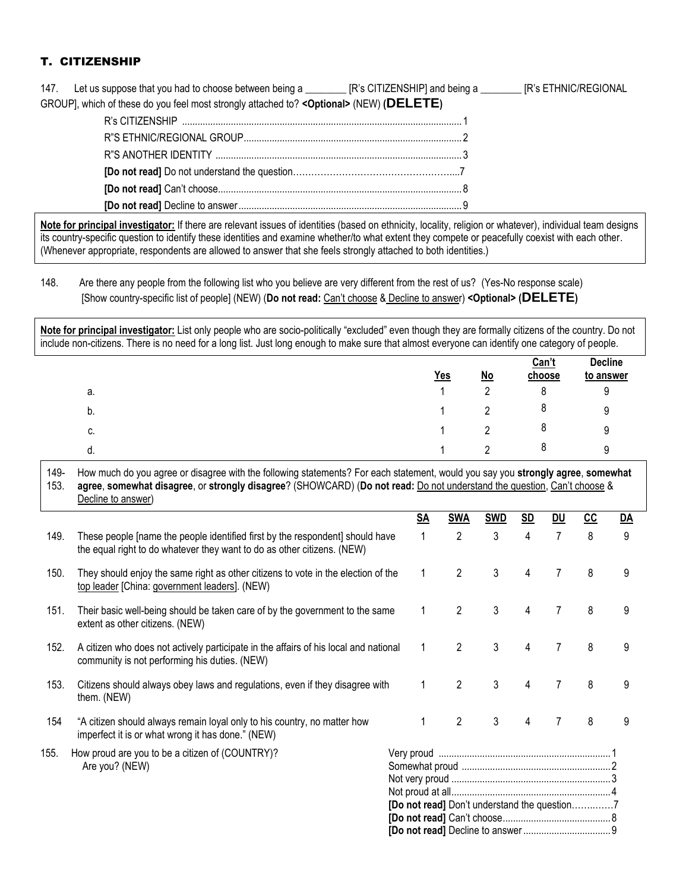# T. CITIZENSHIP

| 147. Let us suppose that you had to choose between being a __________ [R's CITIZENSHIP] and being a _________ [R's ETHNIC/REGIONAL |  |
|------------------------------------------------------------------------------------------------------------------------------------|--|
| GROUP], which of these do you feel most strongly attached to? < Optional> (NEW) (DELETE)                                           |  |
|                                                                                                                                    |  |
|                                                                                                                                    |  |
|                                                                                                                                    |  |
|                                                                                                                                    |  |
|                                                                                                                                    |  |
|                                                                                                                                    |  |
|                                                                                                                                    |  |

**Note for principal investigator:** If there are relevant issues of identities (based on ethnicity, locality, religion or whatever), individual team designs its country-specific question to identify these identities and examine whether/to what extent they compete or peacefully coexist with each other. (Whenever appropriate, respondents are allowed to answer that she feels strongly attached to both identities.)

### 148. Are there any people from the following list who you believe are very different from the rest of us? (Yes-No response scale) [Show country-specific list of people] (NEW) (**Do not read:** Can't choose & Decline to answer) **<Optional> (DELETE)**

**Note for principal investigator:** List only people who are socio-politically "excluded" even though they are formally citizens of the country. Do not include non-citizens. There is no need for a long list. Just long enough to make sure that almost everyone can identify one category of people.

|    | $Yes$ | $No$ | Can't<br>choose | <b>Decline</b><br>to answer |
|----|-------|------|-----------------|-----------------------------|
| а. |       | ı    | 8               | У                           |
| b. |       |      | Ō               | 9                           |
| c. |       |      | Ō               | 9                           |
| d. |       |      | Ō               | a                           |

#### 149- 153. How much do you agree or disagree with the following statements? For each statement, would you say you **strongly agree**, **somewhat agree**, **somewhat disagree**, or **strongly disagree**? (SHOWCARD) (**Do not read:** Do not understand the question, Can't choose & Decline to answer)

|      |                                                                                                                                                          | SA                                           | <b>SWA</b>     | <b>SWD</b> | <u>SD</u> | <u>DU</u> | cc | DA |
|------|----------------------------------------------------------------------------------------------------------------------------------------------------------|----------------------------------------------|----------------|------------|-----------|-----------|----|----|
| 149. | These people [name the people identified first by the respondent] should have<br>the equal right to do whatever they want to do as other citizens. (NEW) |                                              | $\overline{2}$ | 3          | 4         | 7         | 8  | 9  |
| 150. | They should enjoy the same right as other citizens to vote in the election of the<br>top leader [China: government leaders]. (NEW)                       |                                              | $\overline{c}$ | 3          | 4         |           | 8  | 9  |
| 151. | Their basic well-being should be taken care of by the government to the same<br>extent as other citizens. (NEW)                                          |                                              | $\overline{2}$ | 3          |           |           | 8  | 9  |
| 152. | A citizen who does not actively participate in the affairs of his local and national<br>community is not performing his duties. (NEW)                    | 1                                            | $\overline{2}$ | 3          | 4         |           | 8  | 9  |
| 153. | Citizens should always obey laws and regulations, even if they disagree with<br>them. (NEW)                                                              | 1                                            | $\overline{2}$ | 3          | 4         |           | 8  | 9  |
| 154  | "A citizen should always remain loyal only to his country, no matter how<br>imperfect it is or what wrong it has done." (NEW)                            | 1                                            | $\overline{2}$ | 3          | 4         |           | 8  | 9  |
| 155. | How proud are you to be a citizen of (COUNTRY)?<br>Are you? (NEW)                                                                                        | [Do not read] Don't understand the question7 |                |            |           |           |    |    |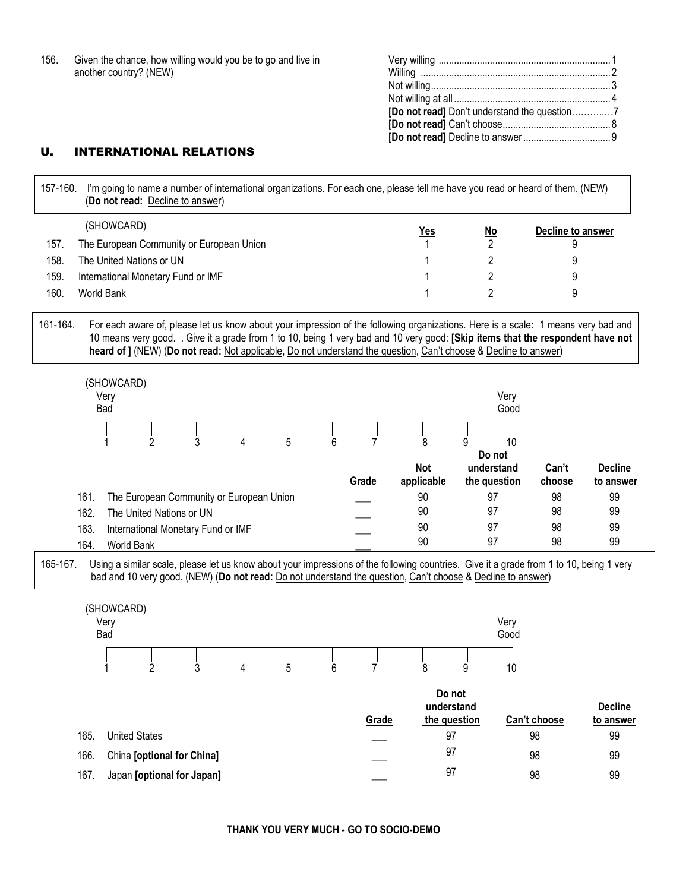| 156. | Given the chance, how willing would you be to go and live in |
|------|--------------------------------------------------------------|
|      | another country? (NEW)                                       |

# U. INTERNATIONAL RELATIONS

| 157-160. |      |                           |   | (Do not read: Decline to answer)         |   |   |   |                | I'm going to name a number of international organizations. For each one, please tell me have you read or heard of them. (NEW)                                                                                                                                                                                                                                                            |                                 |              |                   |                             |
|----------|------|---------------------------|---|------------------------------------------|---|---|---|----------------|------------------------------------------------------------------------------------------------------------------------------------------------------------------------------------------------------------------------------------------------------------------------------------------------------------------------------------------------------------------------------------------|---------------------------------|--------------|-------------------|-----------------------------|
|          |      | (SHOWCARD)                |   |                                          |   |   |   |                | <u>Yes</u>                                                                                                                                                                                                                                                                                                                                                                               | <u>No</u>                       |              | Decline to answer |                             |
| 157.     |      |                           |   | The European Community or European Union |   |   |   |                |                                                                                                                                                                                                                                                                                                                                                                                          | $\overline{2}$                  |              | 9                 |                             |
| 158.     |      | The United Nations or UN  |   |                                          |   |   |   |                |                                                                                                                                                                                                                                                                                                                                                                                          | 2                               |              | 9                 |                             |
| 159.     |      |                           |   | International Monetary Fund or IMF       |   |   |   |                |                                                                                                                                                                                                                                                                                                                                                                                          | $\overline{2}$                  |              | 9                 |                             |
| 160.     |      | World Bank                |   |                                          |   |   |   |                | 1                                                                                                                                                                                                                                                                                                                                                                                        | $\overline{2}$                  |              | 9                 |                             |
| 161-164. |      |                           |   |                                          |   |   |   |                | For each aware of, please let us know about your impression of the following organizations. Here is a scale: 1 means very bad and<br>10 means very good. . Give it a grade from 1 to 10, being 1 very bad and 10 very good: [Skip items that the respondent have not<br>heard of ] (NEW) (Do not read: Not applicable, Do not understand the question, Can't choose & Decline to answer) |                                 |              |                   |                             |
|          |      | (SHOWCARD)<br>Very<br>Bad |   |                                          |   |   |   |                |                                                                                                                                                                                                                                                                                                                                                                                          |                                 | Very<br>Good |                   |                             |
|          |      |                           |   | 3                                        | 4 | 5 |   | $\overline{7}$ |                                                                                                                                                                                                                                                                                                                                                                                          |                                 | 10           |                   |                             |
|          |      |                           | 2 |                                          |   |   | 6 | Grade          | 8<br><b>Not</b><br>applicable                                                                                                                                                                                                                                                                                                                                                            | 9<br>understand<br>the question | Do not       | Can't<br>choose   | <b>Decline</b><br>to answer |
|          | 161. |                           |   | The European Community or European Union |   |   |   |                | 90                                                                                                                                                                                                                                                                                                                                                                                       | 97                              |              | 98                | 99                          |
|          | 162. |                           |   | The United Nations or UN                 |   |   |   |                | 90                                                                                                                                                                                                                                                                                                                                                                                       | 97                              |              | 98                | 99                          |
|          | 163. |                           |   | International Monetary Fund or IMF       |   |   |   |                | 90                                                                                                                                                                                                                                                                                                                                                                                       | 97                              |              | 98                | 99                          |
|          | 164. | World Bank                |   |                                          |   |   |   |                | 90                                                                                                                                                                                                                                                                                                                                                                                       | 97                              |              | 98                | 99                          |
| 165-167. |      |                           |   |                                          |   |   |   |                | Using a similar scale, please let us know about your impressions of the following countries. Give it a grade from 1 to 10, being 1 very<br>bad and 10 very good. (NEW) (Do not read: Do not understand the question, Can't choose & Decline to answer)                                                                                                                                   |                                 |              |                   |                             |
|          |      | (SHOWCARD)<br>Very<br>Bad |   |                                          |   |   |   |                |                                                                                                                                                                                                                                                                                                                                                                                          |                                 | Very<br>Good |                   |                             |
|          |      |                           | 2 | 3                                        | 4 | 5 | 6 | 7              | 8                                                                                                                                                                                                                                                                                                                                                                                        | 9                               | 10           |                   |                             |
|          |      |                           |   |                                          |   |   |   | Grade          | Do not<br>understand<br>the question                                                                                                                                                                                                                                                                                                                                                     |                                 |              | Can't choose      | <b>Decline</b><br>to answer |
|          | 165. | <b>United States</b>      |   |                                          |   |   |   |                | 97                                                                                                                                                                                                                                                                                                                                                                                       |                                 |              | 98                | 99                          |
|          | 166. |                           |   | China [optional for China]               |   |   |   |                | 97                                                                                                                                                                                                                                                                                                                                                                                       |                                 |              | 98                | 99                          |
|          | 167. |                           |   | Japan [optional for Japan]               |   |   |   |                | 97                                                                                                                                                                                                                                                                                                                                                                                       |                                 |              | 98                | 99                          |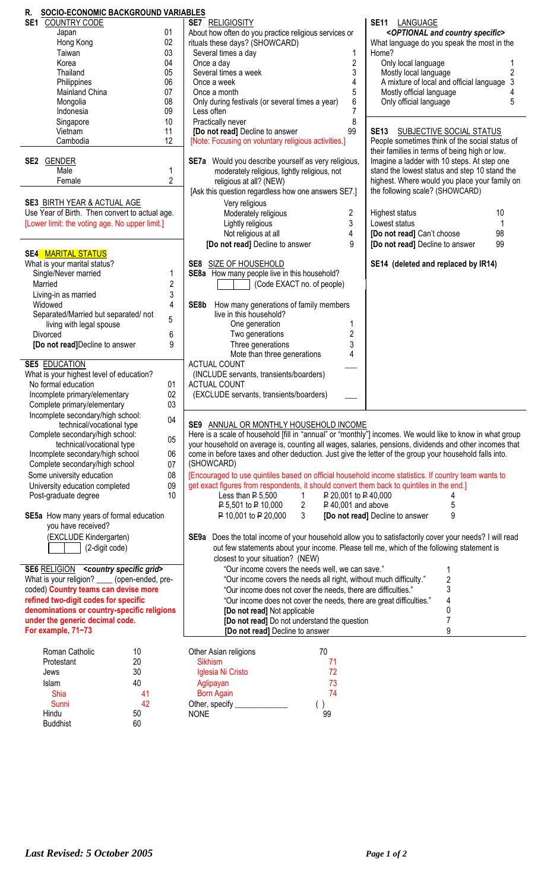| SOCIO-ECONOMIC BACKGROUND VARIABLES<br>R.            |                         |                                                                                                           |                                                     |
|------------------------------------------------------|-------------------------|-----------------------------------------------------------------------------------------------------------|-----------------------------------------------------|
| SE <sub>1</sub><br>COUNTRY CODE                      |                         | <b>SE7 RELIGIOSITY</b>                                                                                    | SE11 LANGUAGE                                       |
| Japan                                                | 01                      | About how often do you practice religious services or                                                     | <optional and="" country="" specific=""></optional> |
| Hong Kong                                            | 02                      | rituals these days? (SHOWCARD)                                                                            | What language do you speak the most in the          |
| Taiwan                                               | 03                      | Several times a day<br>1                                                                                  | Home?                                               |
| Korea                                                | 04                      | $\overline{c}$<br>Once a day                                                                              | Only local language                                 |
| Thailand                                             | 05                      | Several times a week<br>3                                                                                 | $\overline{2}$<br>Mostly local language             |
| Philippines                                          | 06                      | 4<br>Once a week                                                                                          | A mixture of local and official language<br>3       |
| <b>Mainland China</b>                                | 07                      | 5<br>Once a month                                                                                         | Mostly official language                            |
| Mongolia                                             | 08                      | 6<br>Only during festivals (or several times a year)                                                      | 5<br>Only official language                         |
| Indonesia                                            | 09                      | 7<br>Less often                                                                                           |                                                     |
| Singapore                                            | 10                      | 8<br>Practically never                                                                                    |                                                     |
| Vietnam                                              | 11                      | 99<br>[Do not read] Decline to answer                                                                     | <b>SE13</b><br>SUBJECTIVE SOCIAL STATUS             |
| Cambodia                                             | 12                      | [Note: Focusing on voluntary religious activities.]                                                       | People sometimes think of the social status of      |
|                                                      |                         |                                                                                                           | their families in terms of being high or low.       |
| <b>SE2 GENDER</b>                                    |                         | SE7a Would you describe yourself as very religious,                                                       | Imagine a ladder with 10 steps. At step one         |
| Male                                                 | 1                       | moderately religious, lightly religious, not                                                              | stand the lowest status and step 10 stand the       |
| Female                                               | $\overline{2}$          | religious at all? (NEW)                                                                                   | highest. Where would you place your family on       |
|                                                      |                         | [Ask this question regardless how one answers SE7.]                                                       | the following scale? (SHOWCARD)                     |
| <b>SE3 BIRTH YEAR &amp; ACTUAL AGE</b>               |                         | Very religious                                                                                            |                                                     |
| Use Year of Birth. Then convert to actual age.       |                         | 2<br>Moderately religious                                                                                 | Highest status<br>10                                |
| [Lower limit: the voting age. No upper limit.]       |                         | 3                                                                                                         | Lowest status                                       |
|                                                      |                         | Lightly religious<br>4                                                                                    | 98<br>[Do not read] Can't choose                    |
|                                                      |                         | Not religious at all                                                                                      |                                                     |
|                                                      |                         | [Do not read] Decline to answer<br>9                                                                      | 99<br>[Do not read] Decline to answer               |
| <b>SE4 MARITAL STATUS</b>                            |                         |                                                                                                           |                                                     |
| What is your marital status?                         |                         | SE8 SIZE OF HOUSEHOLD                                                                                     | SE14 (deleted and replaced by IR14)                 |
| Single/Never married                                 | 1                       | SE8a How many people live in this household?                                                              |                                                     |
| Married                                              | $\overline{\mathbf{c}}$ | (Code EXACT no. of people)                                                                                |                                                     |
| Living-in as married                                 | 3                       |                                                                                                           |                                                     |
| Widowed                                              | 4                       | How many generations of family members<br>SE8b                                                            |                                                     |
| Separated/Married but separated/ not                 | 5                       | live in this household?                                                                                   |                                                     |
| living with legal spouse                             |                         | One generation                                                                                            |                                                     |
| Divorced                                             | 6                       | $\overline{2}$<br>Two generations                                                                         |                                                     |
| [Do not read]Decline to answer                       | 9                       | 3<br>Three generations                                                                                    |                                                     |
|                                                      |                         | Mote than three generations<br>4                                                                          |                                                     |
| <b>SE5 EDUCATION</b>                                 |                         | <b>ACTUAL COUNT</b>                                                                                       |                                                     |
| What is your highest level of education?             |                         | (INCLUDE servants, transients/boarders)                                                                   |                                                     |
| No formal education                                  | 01                      | ACTUAL COUNT                                                                                              |                                                     |
| Incomplete primary/elementary                        | 02                      | (EXCLUDE servants, transients/boarders)                                                                   |                                                     |
| Complete primary/elementary                          | 03                      |                                                                                                           |                                                     |
| Incomplete secondary/high school:                    |                         |                                                                                                           |                                                     |
| technical/vocational type                            | 04                      | SE9 ANNUAL OR MONTHLY HOUSEHOLD INCOME                                                                    |                                                     |
| Complete secondary/high school:                      |                         | Here is a scale of household [fill in "annual" or "monthly"] incomes. We would like to know in what group |                                                     |
| technical/vocational type                            | 05                      | your household on average is, counting all wages, salaries, pensions, dividends and other incomes that    |                                                     |
| Incomplete secondary/high school                     | 06                      | come in before taxes and other deduction. Just give the letter of the group your household falls into.    |                                                     |
| Complete secondary/high school                       | 07                      | (SHOWCARD)                                                                                                |                                                     |
| Some university education                            | 08                      | [Encouraged to use quintiles based on official household income statistics. If country team wants to      |                                                     |
| University education completed                       | 09                      | get exact figures from respondents, it should convert them back to quintiles in the end.]                 |                                                     |
| Post-graduate degree                                 | 10                      | Less than $P$ 5.500<br>P 20,001 to P 40,000<br>$\mathbf{1}$                                               |                                                     |
|                                                      |                         | P 5,501 to P 10,000<br>$P$ 40,001 and above<br>$\overline{2}$                                             | 5                                                   |
| SE5a How many years of formal education              |                         | P 10,001 to P 20,000<br>3                                                                                 | 9<br>[Do not read] Decline to answer                |
| you have received?                                   |                         |                                                                                                           |                                                     |
| (EXCLUDE Kindergarten)                               |                         | SE9a Does the total income of your household allow you to satisfactorily cover your needs? I will read    |                                                     |
|                                                      |                         |                                                                                                           |                                                     |
| (2-digit code)                                       |                         | out few statements about your income. Please tell me, which of the following statement is                 |                                                     |
|                                                      |                         | closest to your situation? (NEW)                                                                          |                                                     |
| SE6 RELIGION <country grid="" specific=""></country> |                         | "Our income covers the needs well, we can save."                                                          | 1                                                   |
| What is your religion? _____ (open-ended, pre-       |                         | "Our income covers the needs all right, without much difficulty."                                         | $\overline{\mathbf{c}}$                             |
| coded) Country teams can devise more                 |                         | "Our income does not cover the needs, there are difficulties."                                            | 3                                                   |
| refined two-digit codes for specific                 |                         | "Our income does not cover the needs, there are great difficulties."                                      | 4                                                   |
| denominations or country-specific religions          |                         | [Do not read] Not applicable                                                                              | 0                                                   |
| under the generic decimal code.                      |                         | [Do not read] Do not understand the question                                                              | 7                                                   |
| For example, 71~73                                   |                         | [Do not read] Decline to answer                                                                           | 9                                                   |
|                                                      |                         |                                                                                                           |                                                     |
| Roman Catholic<br>10                                 |                         | 70<br>Other Asian religions                                                                               |                                                     |
| 20<br>Protestant                                     |                         | <b>Sikhism</b><br>71                                                                                      |                                                     |
| 30<br>Jews                                           |                         | 72<br>Iglesia Ni Cristo                                                                                   |                                                     |
| 40<br>Islam                                          |                         | 73<br>Aglipayan                                                                                           |                                                     |
| Shia<br>41                                           |                         | 74<br><b>Born Again</b>                                                                                   |                                                     |
| 42<br>Sunni                                          |                         | Other, specify _<br>( )                                                                                   |                                                     |
| Hindu<br>50                                          |                         | 99<br><b>NONE</b>                                                                                         |                                                     |

Buddhist 60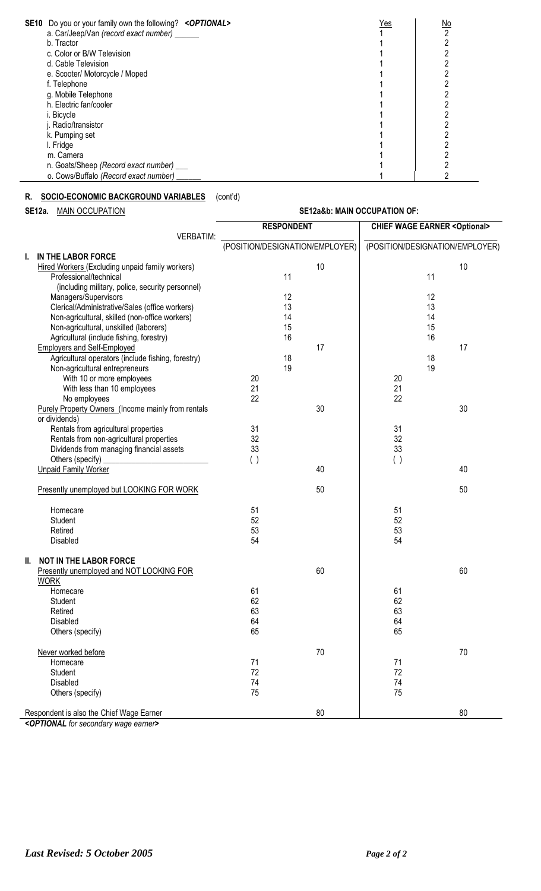| <b>SE10</b> Do you or your family own the following? < <b>OPTIONAL</b> > | Yes | <u>No</u> |
|--------------------------------------------------------------------------|-----|-----------|
| a. Car/Jeep/Van (record exact number) ____                               |     |           |
| b. Tractor                                                               |     |           |
| c. Color or B/W Television                                               |     |           |
| d. Cable Television                                                      |     |           |
| e. Scooter/ Motorcycle / Moped                                           |     |           |
| f. Telephone                                                             |     |           |
| g. Mobile Telephone                                                      |     |           |
| h. Electric fan/cooler                                                   |     |           |
| i. Bicycle                                                               |     |           |
| i. Radio/transistor                                                      |     |           |
| k. Pumping set                                                           |     |           |
| I. Fridge                                                                |     |           |
| m. Camera                                                                |     |           |
| n. Goats/Sheep (Record exact number) ___                                 |     |           |
| o. Cows/Buffalo (Record exact number)                                    |     |           |

# **R. SOCIO-ECONOMIC BACKGROUND VARIABLES** (cont'd)

**SE12a.** MAIN OCCUPATION **SE12a&b: MAIN OCCUPATION OF:**

|                  |                                                                        | <b>RESPONDENT</b>               |        |     | <b>CHIEF WAGE EARNER &lt; Optional&gt;</b> |  |  |
|------------------|------------------------------------------------------------------------|---------------------------------|--------|-----|--------------------------------------------|--|--|
| <b>VERBATIM:</b> |                                                                        |                                 |        |     |                                            |  |  |
|                  |                                                                        | (POSITION/DESIGNATION/EMPLOYER) |        |     | (POSITION/DESIGNATION/EMPLOYER)            |  |  |
| I.               | IN THE LABOR FORCE                                                     |                                 |        |     |                                            |  |  |
|                  | Hired Workers (Excluding unpaid family workers)                        |                                 | 10     |     | 10                                         |  |  |
|                  | Professional/technical                                                 | 11                              |        |     | 11                                         |  |  |
|                  | (including military, police, security personnel)                       |                                 |        |     |                                            |  |  |
|                  | Managers/Supervisors                                                   | 12                              |        |     | 12                                         |  |  |
|                  | Clerical/Administrative/Sales (office workers)                         | 13                              |        |     | 13                                         |  |  |
|                  | Non-agricultural, skilled (non-office workers)                         | 14                              |        |     | 14                                         |  |  |
|                  | Non-agricultural, unskilled (laborers)                                 | 15                              |        |     | 15                                         |  |  |
|                  | Agricultural (include fishing, forestry)                               | 16                              |        |     | 16                                         |  |  |
|                  | <b>Employers and Self-Employed</b>                                     |                                 | 17     |     | 17                                         |  |  |
|                  | Agricultural operators (include fishing, forestry)                     | 18                              |        |     | 18                                         |  |  |
|                  | Non-agricultural entrepreneurs                                         | 19                              |        |     | 19                                         |  |  |
|                  | With 10 or more employees                                              | 20                              |        | 20  |                                            |  |  |
|                  | With less than 10 employees                                            | 21                              |        | 21  |                                            |  |  |
|                  | No employees                                                           | 22                              |        | 22  |                                            |  |  |
|                  | Purely Property Owners (Income mainly from rentals                     |                                 | 30     |     | 30                                         |  |  |
|                  | or dividends)                                                          |                                 |        |     |                                            |  |  |
|                  | Rentals from agricultural properties                                   | 31                              |        | 31  |                                            |  |  |
|                  | Rentals from non-agricultural properties                               | 32                              |        | 32  |                                            |  |  |
|                  | Dividends from managing financial assets                               | 33                              |        | 33  |                                            |  |  |
|                  | Others (specify)<br><u> 1980 - John Stein, Amerikaansk politiker (</u> | ( )                             |        | ( ) |                                            |  |  |
|                  | <b>Unpaid Family Worker</b>                                            |                                 | 40     |     | 40                                         |  |  |
|                  |                                                                        |                                 |        |     |                                            |  |  |
|                  | Presently unemployed but LOOKING FOR WORK                              |                                 | 50     |     | 50                                         |  |  |
|                  |                                                                        |                                 |        |     |                                            |  |  |
|                  | Homecare                                                               | 51                              |        | 51  |                                            |  |  |
|                  | Student                                                                | 52                              |        | 52  |                                            |  |  |
|                  | Retired                                                                | 53                              |        | 53  |                                            |  |  |
|                  | Disabled                                                               | 54                              |        | 54  |                                            |  |  |
| II.              | <b>NOT IN THE LABOR FORCE</b>                                          |                                 |        |     |                                            |  |  |
|                  | Presently unemployed and NOT LOOKING FOR                               |                                 | 60     |     | 60                                         |  |  |
|                  | <b>WORK</b>                                                            |                                 |        |     |                                            |  |  |
|                  | Homecare                                                               | 61                              |        | 61  |                                            |  |  |
|                  | Student                                                                | 62                              |        | 62  |                                            |  |  |
|                  | Retired                                                                | 63                              |        | 63  |                                            |  |  |
|                  | Disabled                                                               | 64                              |        | 64  |                                            |  |  |
|                  | Others (specify)                                                       | 65                              |        | 65  |                                            |  |  |
|                  |                                                                        |                                 |        |     |                                            |  |  |
|                  | Never worked before                                                    |                                 | $70\,$ |     | 70                                         |  |  |
|                  | Homecare                                                               | 71                              |        | 71  |                                            |  |  |
|                  | Student                                                                | 72                              |        | 72  |                                            |  |  |
|                  | Disabled                                                               | 74                              |        | 74  |                                            |  |  |
|                  | Others (specify)                                                       | 75                              |        | 75  |                                            |  |  |
|                  | Respondent is also the Chief Wage Earner                               |                                 | 80     |     | 80                                         |  |  |

*<OPTIONAL for secondary wage earner>*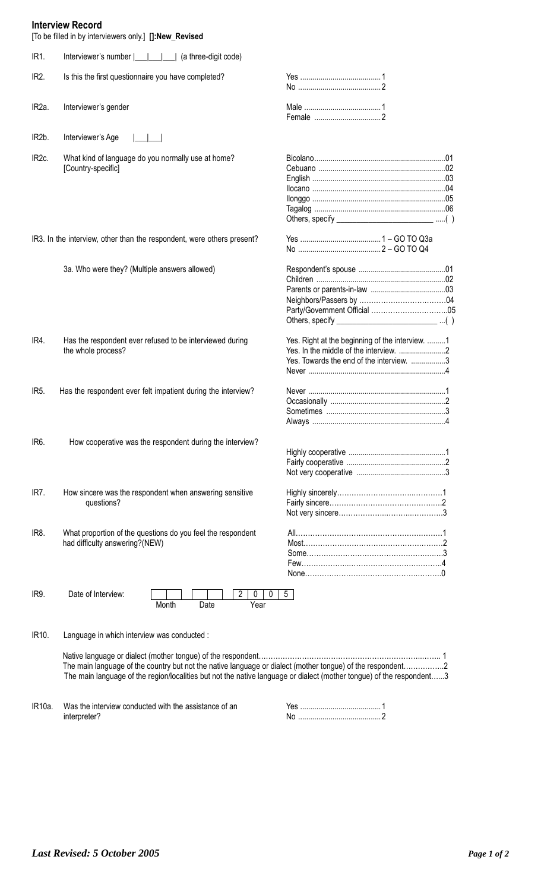# **Interview Record**

|                    | <b>IIIIEI VIEW RECOLU</b><br>[To be filled in by interviewers only.] []:New_Revised                                                                                                                                                |                                                                                             |  |
|--------------------|------------------------------------------------------------------------------------------------------------------------------------------------------------------------------------------------------------------------------------|---------------------------------------------------------------------------------------------|--|
| IR1.               |                                                                                                                                                                                                                                    |                                                                                             |  |
| IR <sub>2</sub> .  | Is this the first questionnaire you have completed?                                                                                                                                                                                |                                                                                             |  |
| IR <sub>2</sub> a. | Interviewer's gender                                                                                                                                                                                                               |                                                                                             |  |
| IR <sub>2</sub> b. | Interviewer's Age                                                                                                                                                                                                                  |                                                                                             |  |
| IR <sub>2c</sub> . | What kind of language do you normally use at home?<br>[Country-specific]                                                                                                                                                           |                                                                                             |  |
|                    |                                                                                                                                                                                                                                    | Others, specify _______________________________()                                           |  |
|                    | IR3. In the interview, other than the respondent, were others present?                                                                                                                                                             |                                                                                             |  |
|                    | 3a. Who were they? (Multiple answers allowed)                                                                                                                                                                                      | Others, specify _____________________________()                                             |  |
| IR4.               | Has the respondent ever refused to be interviewed during<br>the whole process?                                                                                                                                                     | Yes. Right at the beginning of the interview. 1<br>Yes. Towards the end of the interview. 3 |  |
| IR <sub>5</sub>    | Has the respondent ever felt impatient during the interview?                                                                                                                                                                       |                                                                                             |  |
| IR <sub>6</sub> .  | How cooperative was the respondent during the interview?                                                                                                                                                                           |                                                                                             |  |
| IR7.               | How sincere was the respondent when answering sensitive<br>questions?                                                                                                                                                              |                                                                                             |  |
| IR8.               | What proportion of the questions do you feel the respondent<br>had difficulty answering?(NEW)                                                                                                                                      |                                                                                             |  |
| IR9.               | Date of Interview:<br>2<br>0<br>0<br>Month<br>Year<br>Date                                                                                                                                                                         | 5 <sup>5</sup>                                                                              |  |
| IR10.              | Language in which interview was conducted :                                                                                                                                                                                        |                                                                                             |  |
|                    | The main language of the country but not the native language or dialect (mother tongue) of the respondent2<br>The main language of the region/localities but not the native language or dialect (mother tongue) of the respondent3 |                                                                                             |  |

IR10a. Was the interview conducted with the assistance of an interpreter? Yes ........................................1 No .........................................2